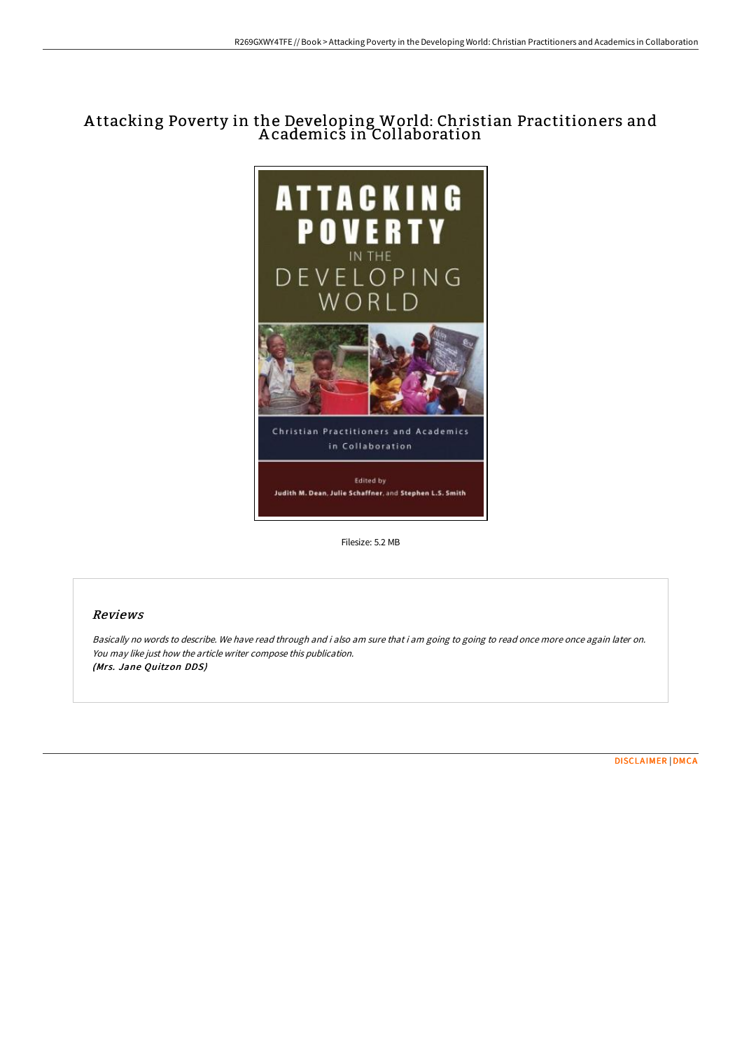# A ttacking Poverty in the Developing World: Christian Practitioners and A cademics in Collaboration



Filesize: 5.2 MB

# Reviews

Basically no words to describe. We have read through and i also am sure that i am going to going to read once more once again later on. You may like just how the article writer compose this publication. (Mrs. Jane Quitzon DDS)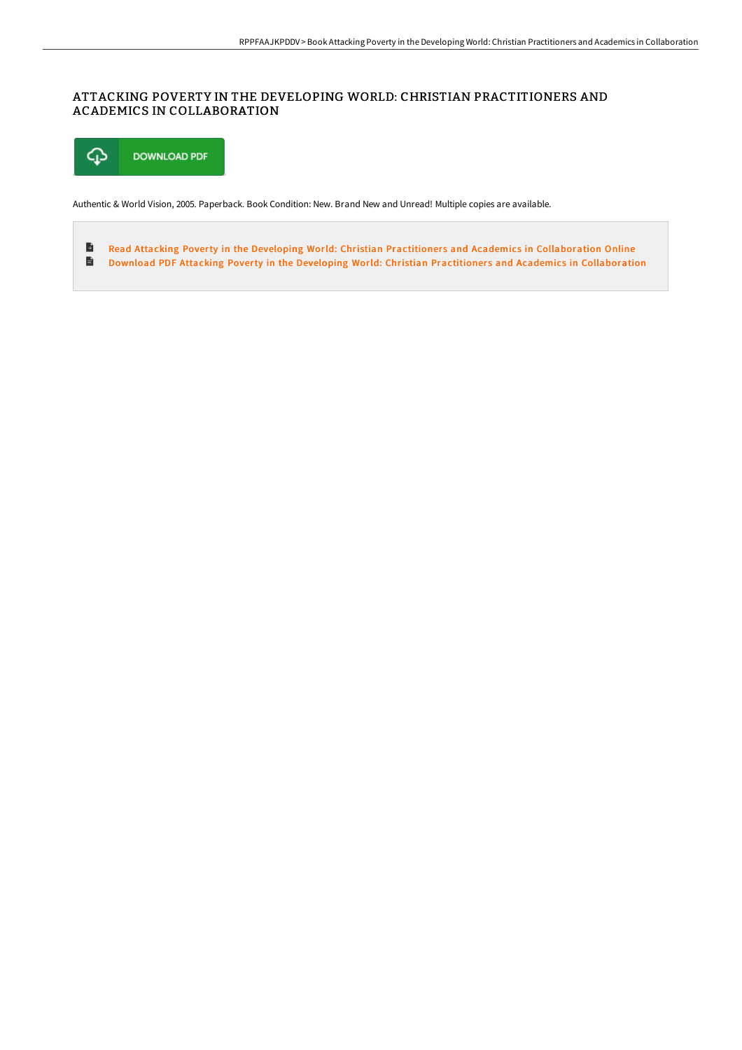# ATTACKING POVERTY IN THE DEVELOPING WORLD: CHRISTIAN PRACTITIONERS AND ACADEMICS IN COLLABORATION



Authentic & World Vision, 2005. Paperback. Book Condition: New. Brand New and Unread! Multiple copies are available.

 $\rightarrow$ Read Attacking Poverty in the Developing World: Christian Practitioners and Academics in [Collaboration](http://digilib.live/attacking-poverty-in-the-developing-world-christ.html) Online  $\blacksquare$ Download PDF Attacking Poverty in the Developing World: Christian Practitioners and Academics in [Collaboration](http://digilib.live/attacking-poverty-in-the-developing-world-christ.html)